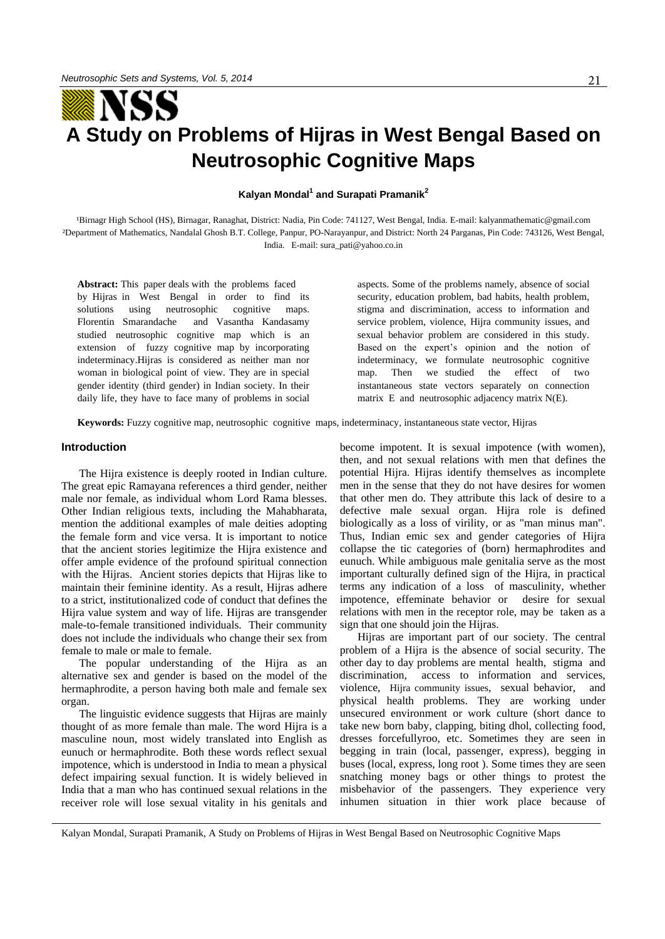# 21

# YSS **A Study on Problems of Hijras in West Bengal Based on Neutrosophic Cognitive Maps**

**Kalyan Mondal<sup>1</sup> and Surapati Pramanik<sup>2</sup>**

<sup>1</sup>Birnagr High School (HS), Birnagar, Ranaghat, District: Nadia, Pin Code: 741127, West Bengal, India. E-mail: kalyanmathematic@gmail.com ²Department of Mathematics, Nandalal Ghosh B.T. College, Panpur, PO-Narayanpur, and District: North 24 Parganas, Pin Code: 743126, West Bengal, India. E-mail[: sura\\_pati@yahoo.co.in](mailto:sura_pati@yahoo.co.in) 

**Abstract:** This paper deals with the problems faced by Hijras in West Bengal in order to find its solutions using neutrosophic cognitive maps. Florentin Smarandache and Vasantha Kandasamy studied neutrosophic cognitive map which is an extension of fuzzy cognitive map by incorporating indeterminacy.Hijras is considered as neither man nor woman in biological point of view. They are in special gender identity (third gender) in Indian society. In their daily life, they have to face many of problems in social aspects. Some of the problems namely, absence of social security, education problem, bad habits, health problem, stigma and discrimination, access to information and service problem, violence, Hijra community issues, and sexual behavior problem are considered in this study. Based on the expert's opinion and the notion of indeterminacy, we formulate neutrosophic cognitive map. Then we studied the effect of two instantaneous state vectors separately on connection matrix E and neutrosophic adjacency matrix N(E).

**Keywords:** Fuzzy cognitive map, neutrosophic cognitive maps, indeterminacy, instantaneous state vector, Hijras

# **Introduction**

The Hijra existence is deeply rooted in Indian culture. The great epic Ramayana references a third gender, neither male nor female, as individual whom Lord Rama blesses. Other Indian religious texts, including the Mahabharata, mention the additional examples of male deities adopting the female form and vice versa. It is important to notice that the ancient stories legitimize the Hijra existence and offer ample evidence of the profound spiritual connection with the Hijras. Ancient stories depicts that Hijras like to maintain their feminine identity. As a result, Hijras adhere to a strict, institutionalized code of conduct that defines the Hijra value system and way of life. Hijras are transgender male-to-female transitioned individuals. Their community does not include the individuals who change their sex from female to male or male to female.

The popular understanding of the Hijra as an alternative sex and gender is based on the model of the hermaphrodite, a person having both male and female sex organ.

The linguistic evidence suggests that Hijras are mainly thought of as more female than male. The word Hijra is a masculine noun, most widely translated into English as eunuch or hermaphrodite. Both these words reflect sexual impotence, which is understood in India to mean a physical defect impairing sexual function. It is widely believed in India that a man who has continued sexual relations in the receiver role will lose sexual vitality in his genitals and become impotent. It is sexual impotence (with women), then, and not sexual relations with men that defines the potential Hijra. Hijras identify themselves as incomplete men in the sense that they do not have desires for women that other men do. They attribute this lack of desire to a defective male sexual organ. Hijra role is defined biologically as a loss of virility, or as "man minus man". Thus, Indian emic sex and gender categories of Hijra collapse the tic categories of (born) hermaphrodites and eunuch. While ambiguous male genitalia serve as the most important culturally defined sign of the Hijra, in practical terms any indication of a loss of masculinity, whether impotence, effeminate behavior or desire for sexual relations with men in the receptor role, may be taken as a sign that one should join the Hijras.

Hijras are important part of our society. The central problem of a Hijra is the absence of social security. The other day to day problems are mental health, stigma and discrimination, access to information and services, violence, Hijra community issues, sexual behavior, and physical health problems. They are working under unsecured environment or work culture (short dance to take new born baby, clapping, biting dhol, collecting food, dresses forcefullyroo, etc. Sometimes they are seen in begging in train (local, passenger, express), begging in buses (local, express, long root ). Some times they are seen snatching money bags or other things to protest the misbehavior of the passengers. They experience very inhumen situation in thier work place because of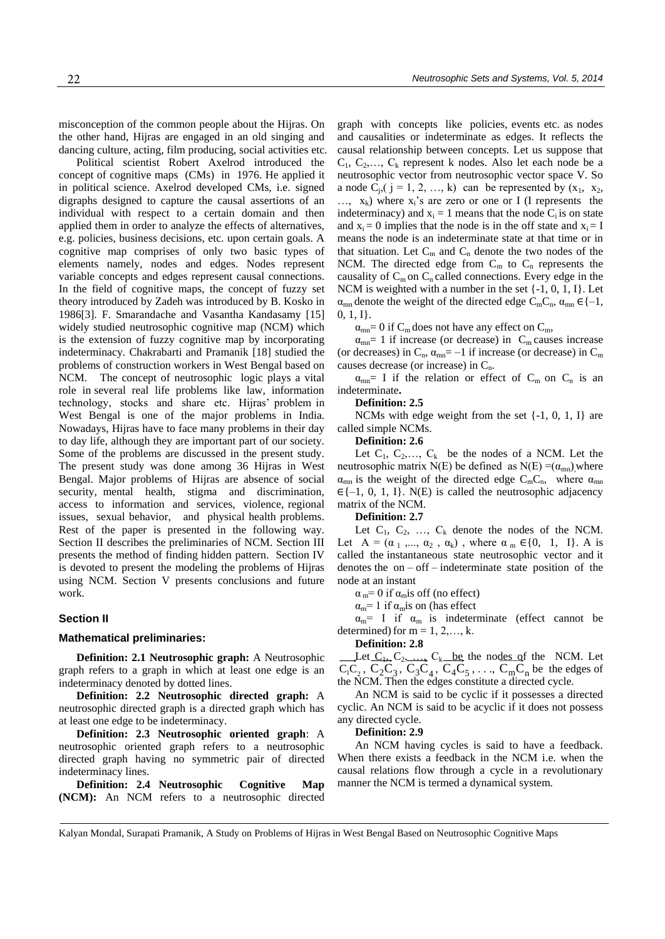misconception of the common people about the Hijras. On the other hand, Hijras are engaged in an old singing and dancing culture, acting, film producing, social activities etc.

Political scientist Robert Axelrod introduced the concept of cognitive maps (CMs) in 1976. He applied it in political science. Axelrod developed CMs, i.e. signed digraphs designed to capture the causal assertions of an individual with respect to a certain domain and then applied them in order to analyze the effects of alternatives, e.g. policies, business decisions, etc. upon certain goals. A cognitive map comprises of only two basic types of elements namely, nodes and edges. Nodes represent variable concepts and edges represent causal connections. In the field of cognitive maps, the concept of fuzzy set theory introduced by Zadeh was introduced by B. Kosko in 1986[3]. F. Smarandache and Vasantha Kandasamy [15] widely studied neutrosophic cognitive map (NCM) which is the extension of fuzzy cognitive map by incorporating indeterminacy. Chakrabarti and Pramanik [18] studied the problems of construction workers in West Bengal based on NCM. The concept of neutrosophic logic plays a vital role in several real life problems like law, information technology, stocks and share etc. Hijras' problem in West Bengal is one of the major problems in India. Nowadays, Hijras have to face many problems in their day to day life, although they are important part of our society. Some of the problems are discussed in the present study. The present study was done among 36 Hijras in West Bengal. Major problems of Hijras are absence of social security, mental health, stigma and discrimination, access to information and services, violence, regional issues, sexual behavior, and physical health problems. Rest of the paper is presented in the following way. Section II describes the preliminaries of NCM. Section III presents the method of finding hidden pattern. Section IV is devoted to present the modeling the problems of Hijras using NCM. Section V presents conclusions and future work.

## **Section II**

#### **Mathematical preliminaries:**

**Definition: 2.1 Neutrosophic graph:** A Neutrosophic graph refers to a graph in which at least one edge is an indeterminacy denoted by dotted lines.

**Definition: 2.2 Neutrosophic directed graph:** A neutrosophic directed graph is a directed graph which has at least one edge to be indeterminacy.

**Definition: 2.3 Neutrosophic oriented graph**: A neutrosophic oriented graph refers to a neutrosophic directed graph having no symmetric pair of directed indeterminacy lines.

**Definition: 2.4 Neutrosophic Cognitive Map (NCM):** An NCM refers to a neutrosophic directed graph with concepts like policies, events etc. as nodes and causalities or indeterminate as edges. It reflects the causal relationship between concepts. Let us suppose that  $C_1, C_2, \ldots, C_k$  represent k nodes. Also let each node be a neutrosophic vector from neutrosophic vector space V. So a node  $C_j$ ,  $(j = 1, 2, ..., k)$  can be represented by  $(x_1, x_2, ...)$  $..., x_k$ ) where  $x_i$ 's are zero or one or I (I represents the indeterminacy) and  $x_i = 1$  means that the node  $C_i$  is on state and  $x_i = 0$  implies that the node is in the off state and  $x_i = I$ means the node is an indeterminate state at that time or in that situation. Let  $C_m$  and  $C_n$  denote the two nodes of the NCM. The directed edge from  $C_m$  to  $C_n$  represents the causality of  $C_m$  on  $C_n$  called connections. Every edge in the NCM is weighted with a number in the set {-1, 0, 1, I}. Let  $\alpha_{mn}$  denote the weight of the directed edge C<sub>m</sub>C<sub>n</sub>,  $\alpha_{mn} \in \{-1,$ 0, 1, I}.

 $\alpha_{mn}$ = 0 if C<sub>m</sub> does not have any effect on C<sub>m</sub>,

 $\alpha_{mn}$ = 1 if increase (or decrease) in  $C_m$  causes increase (or decreases) in  $C_n$ ,  $\alpha_{mn} = -1$  if increase (or decrease) in  $C_m$ causes decrease (or increase) in  $C_n$ .

 $\alpha_{mn}$ = I if the relation or effect of C<sub>m</sub> on C<sub>n</sub> is an indeterminate**.** 

#### **Definition: 2.5**

NCMs with edge weight from the set  $\{-1, 0, 1, I\}$  are called simple NCMs.

### **Definition: 2.6**

Let  $C_1, C_2, \ldots, C_k$  be the nodes of a NCM. Let the neutrosophic matrix N(E) be defined as N(E) =( $\alpha_{mn}$ ), where  $\alpha_{mn}$  is the weight of the directed edge  $C_mC_n$ , where  $\alpha_{mn}$  $\in \{-1, 0, 1, I\}$ . N(E) is called the neutrosophic adjacency matrix of the NCM.

# **Definition: 2.7**

Let  $C_1$ ,  $C_2$ , ...,  $C_k$  denote the nodes of the NCM. Let  $A = (\alpha_1, \ldots, \alpha_2, \alpha_k)$ , where  $\alpha_m \in \{0, 1, 1\}$ . A is called the instantaneous state neutrosophic vector and it denotes the on – off – indeterminate state position of the node at an instant

 $\alpha_m$ = 0 if  $\alpha_m$ is off (no effect)

 $\alpha_m$ = 1 if  $\alpha_m$ is on (has effect

 $\alpha_m$ = I if  $\alpha_m$  is indeterminate (effect cannot be determined) for  $m = 1, 2, \dots, k$ .

**Definition: 2.8** 

Let  $C_1, C_2, \ldots, C_k$  be the nodes of the NCM. Let  $C_1C_2$ ,  $C_2C_3$ ,  $C_3C_4$ ,  $C_4C_5$ , ...,  $C_mC_n$  be the edges of the NCM. Then the edges constitute a directed cycle.

An NCM is said to be cyclic if it possesses a directed cyclic. An NCM is said to be acyclic if it does not possess any directed cycle.

#### **Definition: 2.9**

An NCM having cycles is said to have a feedback. When there exists a feedback in the NCM i.e. when the causal relations flow through a cycle in a revolutionary manner the NCM is termed a dynamical system.

Kalyan Mondal, Surapati Pramanik, A Study on Problems of Hijras in West Bengal Based on Neutrosophic Cognitive Maps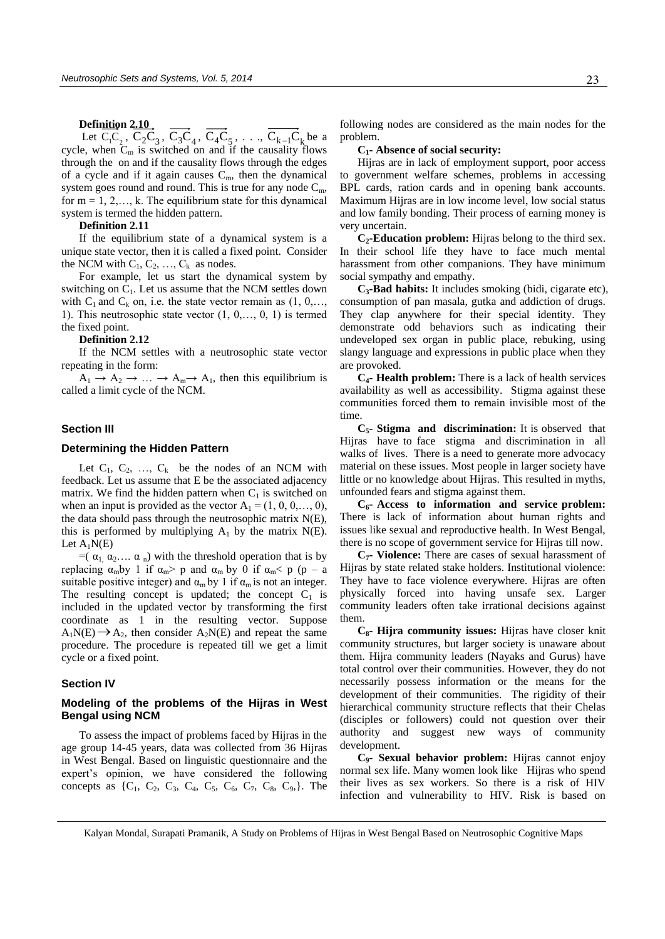#### **Definition 2.10**

Let  $C_1C_2$ ,  $C_2C_3$ ,  $C_3C_4$ ,  $C_4C_5$ , ...,  $C_{k-1}C_k$  be a cycle, when  $C_m$  is switched on and if the causality flows through the on and if the causality flows through the edges of a cycle and if it again causes  $C_m$ , then the dynamical system goes round and round. This is true for any node  $C_m$ , for  $m = 1, 2, \ldots, k$ . The equilibrium state for this dynamical system is termed the hidden pattern.

#### **Definition 2.11**

If the equilibrium state of a dynamical system is a unique state vector, then it is called a fixed point. Consider the NCM with  $C_1, C_2, ..., C_k$  as nodes.

For example, let us start the dynamical system by switching on  $C_1$ . Let us assume that the NCM settles down with  $C_1$  and  $C_k$  on, i.e. the state vector remain as  $(1, 0,...,$ 1). This neutrosophic state vector  $(1, 0, \ldots, 0, 1)$  is termed the fixed point.

# **Definition 2.12**

If the NCM settles with a neutrosophic state vector repeating in the form:

 $A_1 \rightarrow A_2 \rightarrow \dots \rightarrow A_m \rightarrow A_1$ , then this equilibrium is called a limit cycle of the NCM.

# **Section III**

### **Determining the Hidden Pattern**

Let  $C_1$ ,  $C_2$ , ...,  $C_k$  be the nodes of an NCM with feedback. Let us assume that E be the associated adjacency matrix. We find the hidden pattern when  $C_1$  is switched on when an input is provided as the vector  $A_1 = (1, 0, 0, \ldots, 0)$ , the data should pass through the neutrosophic matrix N(E), this is performed by multiplying  $A_1$  by the matrix  $N(E)$ . Let  $A_1N(E)$ 

 $=(\alpha_1, \alpha_2, \ldots, \alpha_n)$  with the threshold operation that is by replacing  $\alpha_m$ by 1 if  $\alpha_m$ > p and  $\alpha_m$  by 0 if  $\alpha_m$ < p (p – a suitable positive integer) and  $\alpha_m$  by 1 if  $\alpha_m$  is not an integer. The resulting concept is updated; the concept  $C_1$  is included in the updated vector by transforming the first coordinate as 1 in the resulting vector. Suppose  $A_1N(E) \rightarrow A_2$ , then consider  $A_2N(E)$  and repeat the same procedure. The procedure is repeated till we get a limit cycle or a fixed point.

# **Section IV**

# **Modeling of the problems of the Hijras in West Bengal using NCM**

To assess the impact of problems faced by Hijras in the age group 14-45 years, data was collected from 36 Hijras in West Bengal. Based on linguistic questionnaire and the expert's opinion, we have considered the following concepts as  $\{C_1, C_2, C_3, C_4, C_5, C_6, C_7, C_8, C_9\}$ . The following nodes are considered as the main nodes for the problem.

#### **C1- Absence of social security:**

Hijras are in lack of employment support, poor access to government welfare schemes, problems in accessing BPL cards, ration cards and in opening bank accounts. Maximum Hijras are in low income level, low social status and low family bonding. Their process of earning money is very uncertain.

**C2-Education problem:** Hijras belong to the third sex. In their school life they have to face much mental harassment from other companions. They have minimum social sympathy and empathy.

**C3-Bad habits:** It includes smoking (bidi, cigarate etc), consumption of pan masala, gutka and addiction of drugs. They clap anywhere for their special identity. They demonstrate odd behaviors such as indicating their undeveloped sex organ in public place, rebuking, using slangy language and expressions in public place when they are provoked.

**C4- Health problem:** There is a lack of health services availability as well as accessibility. Stigma against these communities forced them to remain invisible most of the time.

**C5- Stigma and discrimination:** It is observed that Hijras have to face stigma and discrimination in all walks of lives. There is a need to generate more advocacy material on these issues. Most people in larger society have little or no knowledge about Hijras. This resulted in myths, unfounded fears and stigma against them.

**C6- Access to information and service problem:** There is lack of information about human rights and issues like sexual and reproductive health. In West Bengal, there is no scope of government service for Hijras till now.

**C7- Violence:** There are cases of sexual harassment of Hijras by state related stake holders. Institutional violence: They have to face violence everywhere. Hijras are often physically forced into having unsafe sex. Larger community leaders often take irrational decisions against them.

**C8- Hijra community issues:** Hijras have closer knit community structures, but larger society is unaware about them. Hijra community leaders (Nayaks and Gurus) have total control over their communities. However, they do not necessarily possess information or the means for the development of their communities. The rigidity of their hierarchical community structure reflects that their Chelas (disciples or followers) could not question over their authority and suggest new ways of community development.

**C9- Sexual behavior problem:** Hijras cannot enjoy normal sex life. Many women look like Hijras who spend their lives as sex workers. So there is a risk of HIV infection and vulnerability to HIV. Risk is based on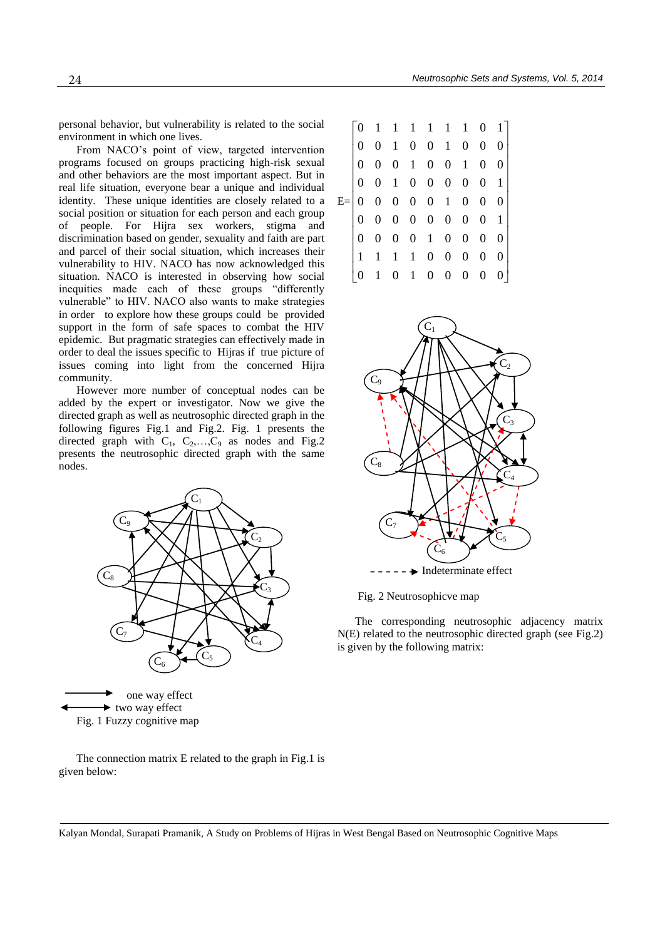personal behavior, but vulnerability is related to the social environment in which one lives.

From NACO's point of view, targeted intervention programs focused on groups practicing high-risk sexual and other behaviors are the most important aspect. But in real life situation, everyone bear a unique and individual identity. These unique identities are closely related to a social position or situation for each person and each group of people. For Hijra sex workers, stigma and discrimination based on gender, sexuality and faith are part and parcel of their social situation, which increases their vulnerability to HIV. NACO has now acknowledged this situation. NACO is interested in observing how social inequities made each of these groups "differently vulnerable" to HIV. NACO also wants to make strategies in order to explore how these groups could be provided support in the form of safe spaces to combat the HIV epidemic. But pragmatic strategies can effectively made in order to deal the issues specific to Hijras if true picture of issues coming into light from the concerned Hijra community.

However more number of conceptual nodes can be added by the expert or investigator. Now we give the directed graph as well as neutrosophic directed graph in the following figures Fig.1 and Fig.2. Fig. 1 presents the directed graph with  $C_1$ ,  $C_2$ , ...,  $C_9$  as nodes and Fig.2 presents the neutrosophic directed graph with the same nodes.



The connection matrix E related to the graph in Fig.1 is given below:

|  |   |   |                |                                     |                     |                |                                             | $[0 \t1 \t1 \t1 \t1 \t1 \t0 \t1]$                                                                   |
|--|---|---|----------------|-------------------------------------|---------------------|----------------|---------------------------------------------|-----------------------------------------------------------------------------------------------------|
|  |   |   |                |                                     |                     |                |                                             |                                                                                                     |
|  | 0 |   |                |                                     |                     |                |                                             | $\begin{array}{ccccccc} 0 & 1 & 0 & 0 & 1 & 0 & 0 & 0 \\ 0 & 0 & 1 & 0 & 0 & 1 & 0 & 0 \end{array}$ |
|  | 0 |   |                |                                     |                     |                |                                             | 0 1 0 0 0 0 0 1                                                                                     |
|  |   |   |                |                                     |                     |                | $0 \t 0 \t 0 \t 0 \t 0 \t 1 \t 0 \t 0 \t 0$ |                                                                                                     |
|  |   |   |                |                                     |                     |                |                                             | $0 \t0 \t0 \t0 \t0 \t0 \t0 \t1$                                                                     |
|  |   | 0 |                |                                     |                     |                |                                             | $0 \t0 \t1 \t0 \t0 \t0 \t0$                                                                         |
|  |   |   |                |                                     |                     | $\overline{0}$ | $\overline{0}$                              | 0 <sup>1</sup>                                                                                      |
|  |   |   | $\overline{0}$ |                                     |                     | $\mathbf{0}$   | $\overline{0}$                              | 01                                                                                                  |
|  |   |   |                | $1 \quad 1 \quad 1 \quad 0 \quad 0$ | $1 \quad 0 \quad 0$ |                |                                             |                                                                                                     |



Fig. 2 Neutrosophicve map

The corresponding neutrosophic adjacency matrix N(E) related to the neutrosophic directed graph (see Fig.2) is given by the following matrix:

Kalyan Mondal, Surapati Pramanik, A Study on Problems of Hijras in West Bengal Based on Neutrosophic Cognitive Maps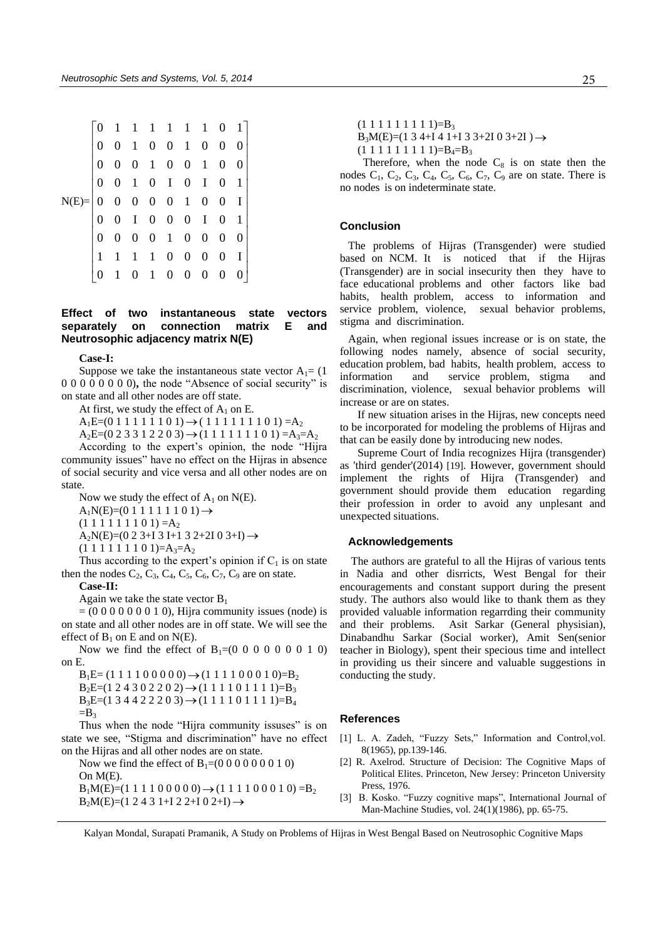|  |  |              | $\begin{bmatrix} 0 & 1 & 1 & 1 & 1 & 1 & 1 & 0 & 1 \\ 0 & 0 & 1 & 0 & 0 & 1 & 0 & 0 & 0 \\ 0 & 0 & 0 & 1 & 0 & 0 & 1 & 0 & 0 \\ 0 & 0 & 1 & 0 & 1 & 0 & 1 & 0 & 1 \\ 0 & 0 & 0 & 0 & 0 & 1 & 0 & 0 & 1 \\ 0 & 0 & 1 & 0 & 0 & 0 & 1 & 0 & 0 \\ 1 & 1 & 1 & 1 & 0 & 0 & 0 & 0 & 1 \\ 0 & 0 & 0 & 0 & 1 & 0 & 0 & 0 & $ |  |                  |                |  |
|--|--|--------------|-----------------------------------------------------------------------------------------------------------------------------------------------------------------------------------------------------------------------------------------------------------------------------------------------------------------------|--|------------------|----------------|--|
|  |  | $\mathbf{0}$ | $1\quad 0\quad 0\quad 0$                                                                                                                                                                                                                                                                                              |  | $\boldsymbol{0}$ | 0 <sup>1</sup> |  |

# **Effect of two instantaneous state vectors separately on connection matrix E and Neutrosophic adjacency matrix N(E)**

#### **Case-I:**

Suppose we take the instantaneous state vector  $A_1 = (1$ 0 0 0 0 0 0 0 0)**,** the node "Absence of social security" is on state and all other nodes are off state.

At first, we study the effect of  $A_1$  on E.

 $A_1E=(0 1 1 1 1 1 1 0 1) \rightarrow (1 1 1 1 1 1 1 0 1) = A_2$ 

 $A_2E=(0\ 2\ 3\ 3\ 1\ 2\ 2\ 0\ 3) \rightarrow (1\ 1\ 1\ 1\ 1\ 1\ 0\ 1) =A_3=A_2$ 

According to the expert's opinion, the node "Hijra community issues" have no effect on the Hijras in absence of social security and vice versa and all other nodes are on state.

Now we study the effect of  $A_1$  on N(E).

 $A_1N(E)=(0 1 1 1 1 1 1 0 1) \rightarrow$ 

 $(1 1 1 1 1 1 1 0 1) = A_2$ 

 $A_2N(E)=(0 2 3+1 3 I+1 3 2+2I 0 3+I) \rightarrow$ 

 $(1 1 1 1 1 1 1 0 1)=A_3=A_2$ 

Thus according to the expert's opinion if  $C_1$  is on state then the nodes  $C_2$ ,  $C_3$ ,  $C_4$ ,  $C_5$ ,  $C_6$ ,  $C_7$ ,  $C_9$  are on state.

**Case-II:** 

Again we take the state vector  $B_1$ 

 $= (0 0 0 0 0 0 0 1 0)$ , Hijra community issues (node) is on state and all other nodes are in off state. We will see the effect of  $B_1$  on E and on N(E).

Now we find the effect of  $B_1=(0\ 0\ 0\ 0\ 0\ 0\ 1\ 0)$ on E.

 $B_1E = (1 1 1 1 0 0 0 0 0) \rightarrow (1 1 1 1 0 0 0 1 0)=B_2$  $B_2E=(1\ 2\ 4\ 3\ 0\ 2\ 2\ 0\ 2) \rightarrow (1\ 1\ 1\ 1\ 0\ 1\ 1\ 1\ 1) = B_3$  $B_3E=(1\ 3\ 4\ 4\ 2\ 2\ 2\ 0\ 3) \rightarrow (1\ 1\ 1\ 1\ 0\ 1\ 1\ 1\ 1) =B_4$  $=$ B<sub>3</sub>

Thus when the node "Hijra community issuses" is on state we see, "Stigma and discrimination" have no effect on the Hijras and all other nodes are on state.

Now we find the effect of  $B_1=(0\ 0\ 0\ 0\ 0\ 0\ 1\ 0)$ On M(E).  $B_1M(E)=(1\ 1\ 1\ 1\ 0\ 0\ 0\ 0\ 0)\rightarrow (1\ 1\ 1\ 1\ 0\ 0\ 0\ 1\ 0)=B_2$  $B_2M(E)=(1\ 2\ 4\ 3\ 1+I\ 2\ 2+I\ 0\ 2+I)\rightarrow$ 

 $(1 1 1 1 1 1 1 1 1) = B_3$ 

 $B_3M(E)=(1\ 3\ 4+I\ 4\ 1+I\ 3\ 3+2I\ 0\ 3+2I\ )\rightarrow$ 

 $(1 1 1 1 1 1 1 1 1) = B_4 = B_3$ 

Therefore, when the node  $C_8$  is on state then the nodes  $C_1$ ,  $C_2$ ,  $C_3$ ,  $C_4$ ,  $C_5$ ,  $C_6$ ,  $C_7$ ,  $C_9$  are on state. There is no nodes is on indeterminate state.

# **Conclusion**

 The problems of Hijras (Transgender) were studied based on NCM. It is noticed that if the Hijras (Transgender) are in social insecurity then they have to face educational problems and other factors like bad habits, health problem, access to information and service problem, violence, sexual behavior problems, stigma and discrimination.

 Again, when regional issues increase or is on state, the following nodes namely, absence of social security, education problem, bad habits, health problem, access to information and service problem, stigma and discrimination, violence, sexual behavior problems will increase or are on states.

If new situation arises in the Hijras, new concepts need to be incorporated for modeling the problems of Hijras and that can be easily done by introducing new nodes.

Supreme Court of India recognizes Hijra (transgender) as 'third gender'(2014) [19]. However, government should implement the rights of Hijra (Transgender) and government should provide them education regarding their profession in order to avoid any unplesant and unexpected situations.

# **Acknowledgements**

 The authors are grateful to all the Hijras of various tents in Nadia and other disrricts, West Bengal for their encouragements and constant support during the present study. The authors also would like to thank them as they provided valuable information regarrding their community and their problems. Asit Sarkar (General physisian), Dinabandhu Sarkar (Social worker), Amit Sen(senior teacher in Biology), spent their specious time and intellect in providing us their sincere and valuable suggestions in conducting the study.

### **References**

- [1] L. A. Zadeh, "Fuzzy Sets," Information and Control, vol. 8(1965), pp.139-146.
- [2] R. Axelrod. Structure of Decision: The Cognitive Maps of Political Elites. Princeton, New Jersey: Princeton University Press, 1976.
- [3] B. Kosko. "Fuzzy cognitive maps", International Journal of Man-Machine Studies, vol. 24(1)(1986), pp. 65-75.